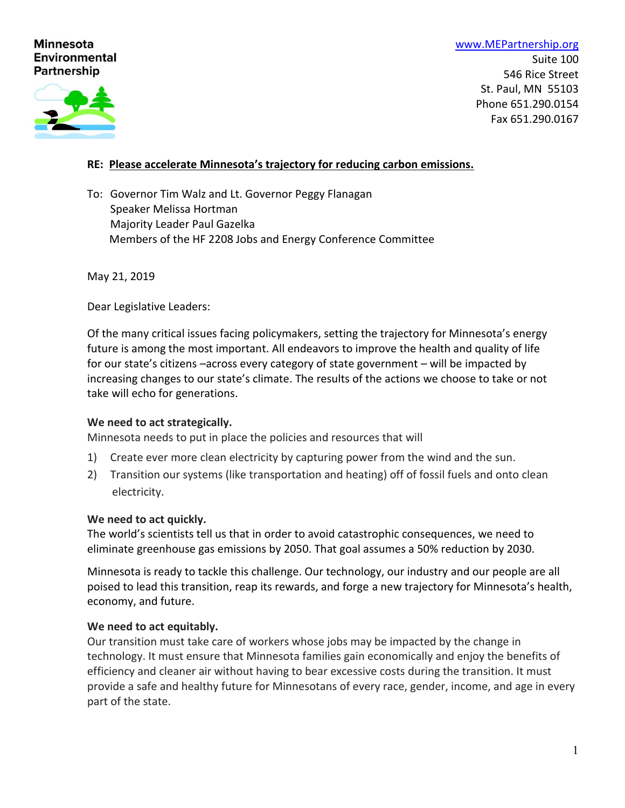# **Minnesota Environmental Partnership**

[www.MEPartnership.org](http://www.mepartnership.org/) Suite 100 546 Rice Street St. Paul, MN 55103 Phone 651.290.0154 Fax 651.290.0167

# **RE: Please accelerate Minnesota's trajectory for reducing carbon emissions.**

To: Governor Tim Walz and Lt. Governor Peggy Flanagan Speaker Melissa Hortman Majority Leader Paul Gazelka Members of the HF 2208 Jobs and Energy Conference Committee

May 21, 2019

Dear Legislative Leaders:

Of the many critical issues facing policymakers, setting the trajectory for Minnesota's energy future is among the most important. All endeavors to improve the health and quality of life for our state's citizens –across every category of state government – will be impacted by increasing changes to our state's climate. The results of the actions we choose to take or not take will echo for generations.

#### **We need to act strategically.**

Minnesota needs to put in place the policies and resources that will

- 1) Create ever more clean electricity by capturing power from the wind and the sun.
- 2) Transition our systems (like transportation and heating) off of fossil fuels and onto clean electricity.

#### **We need to act quickly.**

The world's scientists tell us that in order to avoid catastrophic consequences, we need to eliminate greenhouse gas emissions by 2050. That goal assumes a 50% reduction by 2030.

Minnesota is ready to tackle this challenge. Our technology, our industry and our people are all poised to lead this transition, reap its rewards, and forge a new trajectory for Minnesota's health, economy, and future.

#### **We need to act equitably.**

Our transition must take care of workers whose jobs may be impacted by the change in technology. It must ensure that Minnesota families gain economically and enjoy the benefits of efficiency and cleaner air without having to bear excessive costs during the transition. It must provide a safe and healthy future for Minnesotans of every race, gender, income, and age in every part of the state.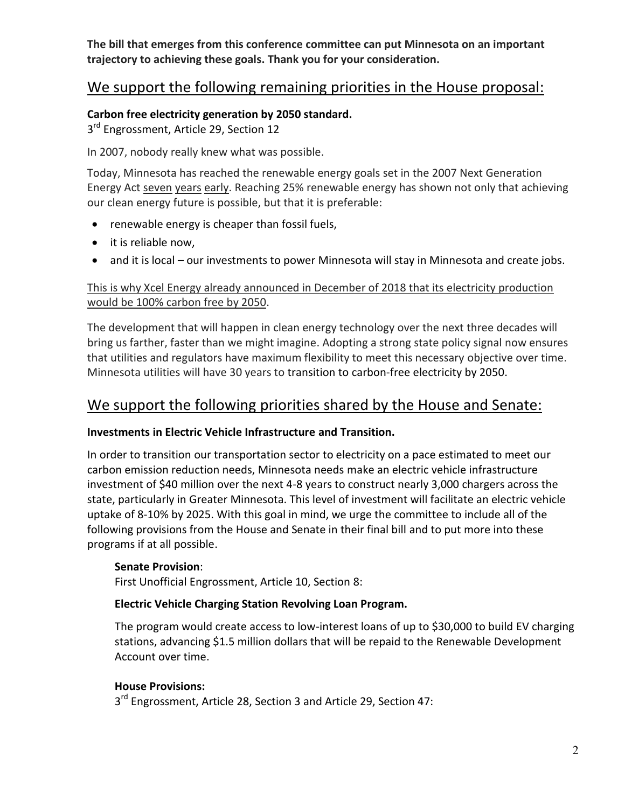**The bill that emerges from this conference committee can put Minnesota on an important trajectory to achieving these goals. Thank you for your consideration.** 

# We support the following remaining priorities in the House proposal:

## **Carbon free electricity generation by 2050 standard.**

3<sup>rd</sup> Engrossment, Article 29, Section 12

In 2007, nobody really knew what was possible.

Today, Minnesota has reached the renewable energy goals set in the 2007 Next Generation Energy Act seven years early. Reaching 25% renewable energy has shown not only that achieving our clean energy future is possible, but that it is preferable:

- renewable energy is cheaper than fossil fuels,
- it is reliable now,
- and it is local our investments to power Minnesota will stay in Minnesota and create jobs.

# This is why Xcel Energy already announced in December of 2018 that its electricity production would be 100% carbon free by 2050.

The development that will happen in clean energy technology over the next three decades will bring us farther, faster than we might imagine. Adopting a strong state policy signal now ensures that utilities and regulators have maximum flexibility to meet this necessary objective over time. Minnesota utilities will have 30 years to transition to carbon-free electricity by 2050.

# We support the following priorities shared by the House and Senate:

## **Investments in Electric Vehicle Infrastructure and Transition.**

In order to transition our transportation sector to electricity on a pace estimated to meet our carbon emission reduction needs, Minnesota needs make an electric vehicle infrastructure investment of \$40 million over the next 4-8 years to construct nearly 3,000 chargers across the state, particularly in Greater Minnesota. This level of investment will facilitate an electric vehicle uptake of 8-10% by 2025. With this goal in mind, we urge the committee to include all of the following provisions from the House and Senate in their final bill and to put more into these programs if at all possible.

## **Senate Provision**:

First Unofficial Engrossment, Article 10, Section 8:

## **Electric Vehicle Charging Station Revolving Loan Program.**

The program would create access to low-interest loans of up to \$30,000 to build EV charging stations, advancing \$1.5 million dollars that will be repaid to the Renewable Development Account over time.

## **House Provisions:**

3<sup>rd</sup> Engrossment, Article 28, Section 3 and Article 29, Section 47: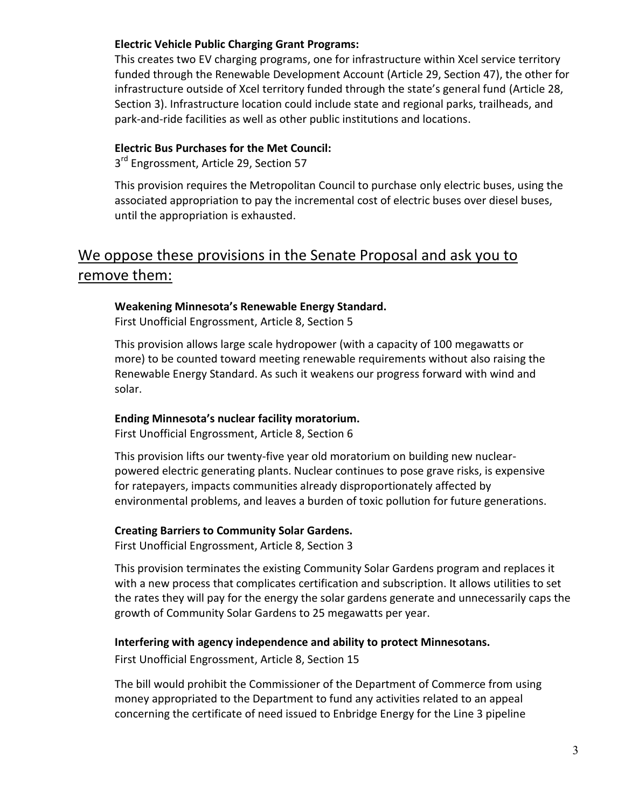#### **Electric Vehicle Public Charging Grant Programs:**

This creates two EV charging programs, one for infrastructure within Xcel service territory funded through the Renewable Development Account (Article 29, Section 47), the other for infrastructure outside of Xcel territory funded through the state's general fund (Article 28, Section 3). Infrastructure location could include state and regional parks, trailheads, and park-and-ride facilities as well as other public institutions and locations.

## **Electric Bus Purchases for the Met Council:**

3<sup>rd</sup> Engrossment, Article 29, Section 57

This provision requires the Metropolitan Council to purchase only electric buses, using the associated appropriation to pay the incremental cost of electric buses over diesel buses, until the appropriation is exhausted.

# We oppose these provisions in the Senate Proposal and ask you to remove them:

#### **Weakening Minnesota's Renewable Energy Standard.**

First Unofficial Engrossment, Article 8, Section 5

This provision allows large scale hydropower (with a capacity of 100 megawatts or more) to be counted toward meeting renewable requirements without also raising the Renewable Energy Standard. As such it weakens our progress forward with wind and solar.

## **Ending Minnesota's nuclear facility moratorium.**

First Unofficial Engrossment, Article 8, Section 6

This provision lifts our twenty-five year old moratorium on building new nuclearpowered electric generating plants. Nuclear continues to pose grave risks, is expensive for ratepayers, impacts communities already disproportionately affected by environmental problems, and leaves a burden of toxic pollution for future generations.

## **Creating Barriers to Community Solar Gardens.**

First Unofficial Engrossment, Article 8, Section 3

This provision terminates the existing Community Solar Gardens program and replaces it with a new process that complicates certification and subscription. It allows utilities to set the rates they will pay for the energy the solar gardens generate and unnecessarily caps the growth of Community Solar Gardens to 25 megawatts per year.

## **Interfering with agency independence and ability to protect Minnesotans.**

First Unofficial Engrossment, Article 8, Section 15

The bill would prohibit the Commissioner of the Department of Commerce from using money appropriated to the Department to fund any activities related to an appeal concerning the certificate of need issued to Enbridge Energy for the Line 3 pipeline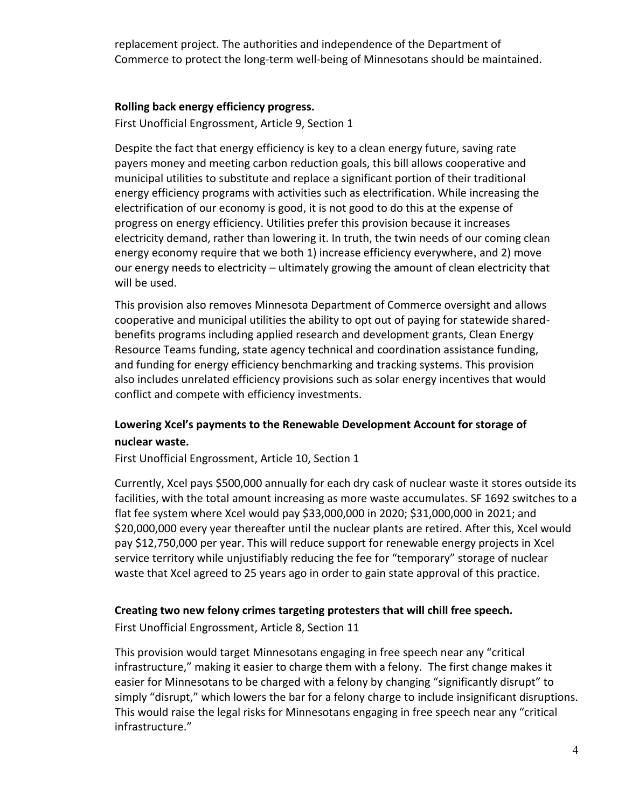replacement project. The authorities and independence of the Department of Commerce to protect the long-term well-being of Minnesotans should be maintained.

#### **Rolling back energy efficiency progress.**

First Unofficial Engrossment, Article 9, Section 1

Despite the fact that energy efficiency is key to a clean energy future, saving rate payers money and meeting carbon reduction goals, this bill allows cooperative and municipal utilities to substitute and replace a significant portion of their traditional energy efficiency programs with activities such as electrification. While increasing the electrification of our economy is good, it is not good to do this at the expense of progress on energy efficiency. Utilities prefer this provision because it increases electricity demand, rather than lowering it. In truth, the twin needs of our coming clean energy economy require that we both 1) increase efficiency everywhere, and 2) move our energy needs to electricity – ultimately growing the amount of clean electricity that will be used.

This provision also removes Minnesota Department of Commerce oversight and allows cooperative and municipal utilities the ability to opt out of paying for statewide sharedbenefits programs including applied research and development grants, Clean Energy Resource Teams funding, state agency technical and coordination assistance funding, and funding for energy efficiency benchmarking and tracking systems. This provision also includes unrelated efficiency provisions such as solar energy incentives that would conflict and compete with efficiency investments.

# **Lowering Xcel's payments to the Renewable Development Account for storage of nuclear waste.**

First Unofficial Engrossment, Article 10, Section 1

Currently, Xcel pays \$500,000 annually for each dry cask of nuclear waste it stores outside its facilities, with the total amount increasing as more waste accumulates. SF 1692 switches to a flat fee system where Xcel would pay \$33,000,000 in 2020; \$31,000,000 in 2021; and \$20,000,000 every year thereafter until the nuclear plants are retired. After this, Xcel would pay \$12,750,000 per year. This will reduce support for renewable energy projects in Xcel service territory while unjustifiably reducing the fee for "temporary" storage of nuclear waste that Xcel agreed to 25 years ago in order to gain state approval of this practice.

#### **Creating two new felony crimes targeting protesters that will chill free speech.**

First Unofficial Engrossment, Article 8, Section 11

This provision would target Minnesotans engaging in free speech near any "critical infrastructure," making it easier to charge them with a felony. The first change makes it easier for Minnesotans to be charged with a felony by changing "significantly disrupt" to simply "disrupt," which lowers the bar for a felony charge to include insignificant disruptions. This would raise the legal risks for Minnesotans engaging in free speech near any "critical infrastructure."